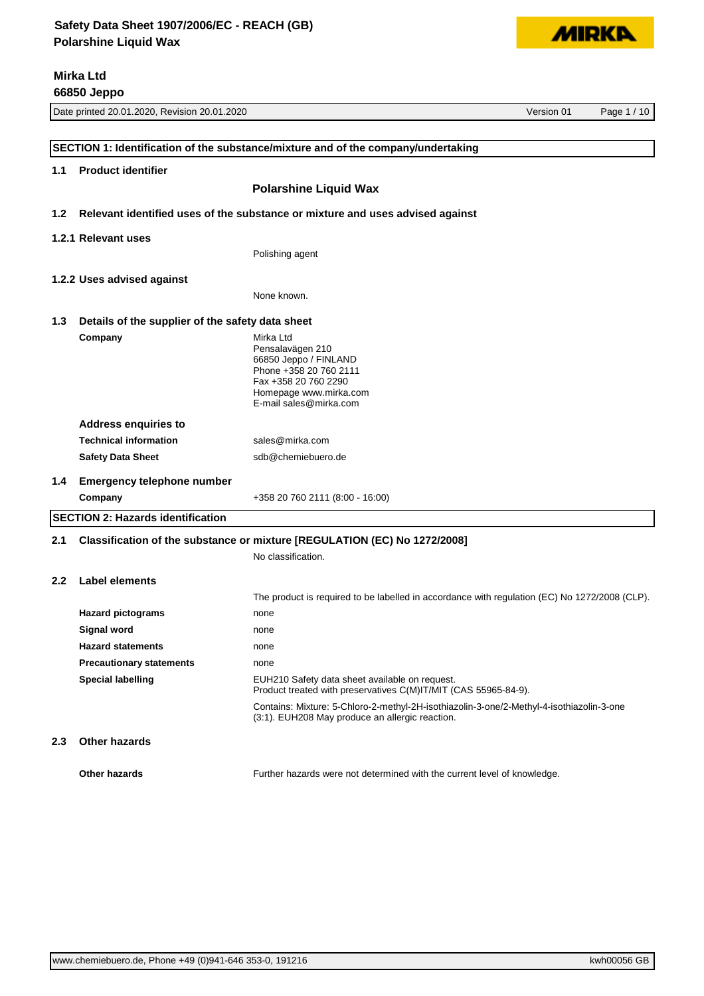

**66850 Jeppo**

**MIRKA** 

|                  |                                                                           | SECTION 1: Identification of the substance/mixture and of the company/undertaking                                                                            |  |
|------------------|---------------------------------------------------------------------------|--------------------------------------------------------------------------------------------------------------------------------------------------------------|--|
| 1.1              | <b>Product identifier</b>                                                 |                                                                                                                                                              |  |
|                  |                                                                           | <b>Polarshine Liquid Wax</b>                                                                                                                                 |  |
| 1.2 <sub>2</sub> |                                                                           | Relevant identified uses of the substance or mixture and uses advised against                                                                                |  |
|                  | 1.2.1 Relevant uses                                                       |                                                                                                                                                              |  |
|                  |                                                                           | Polishing agent                                                                                                                                              |  |
|                  | 1.2.2 Uses advised against                                                |                                                                                                                                                              |  |
|                  |                                                                           | None known.                                                                                                                                                  |  |
| 1.3              | Details of the supplier of the safety data sheet                          |                                                                                                                                                              |  |
|                  | Company                                                                   | Mirka Ltd<br>Pensalavägen 210<br>66850 Jeppo / FINLAND<br>Phone +358 20 760 2111<br>Fax +358 20 760 2290<br>Homepage www.mirka.com<br>E-mail sales@mirka.com |  |
|                  | <b>Address enquiries to</b>                                               |                                                                                                                                                              |  |
|                  | <b>Technical information</b>                                              | sales@mirka.com                                                                                                                                              |  |
|                  | <b>Safety Data Sheet</b>                                                  | sdb@chemiebuero.de                                                                                                                                           |  |
| 1.4              | <b>Emergency telephone number</b>                                         |                                                                                                                                                              |  |
|                  | Company                                                                   | +358 20 760 2111 (8:00 - 16:00)                                                                                                                              |  |
|                  | <b>SECTION 2: Hazards identification</b>                                  |                                                                                                                                                              |  |
| 2.1              | Classification of the substance or mixture [REGULATION (EC) No 1272/2008] |                                                                                                                                                              |  |
|                  |                                                                           | No classification.                                                                                                                                           |  |
| 2.2 <sub>2</sub> | Label elements                                                            |                                                                                                                                                              |  |
|                  |                                                                           | The product is required to be labelled in accordance with regulation (EC) No 1272/2008 (CLP).                                                                |  |
|                  | <b>Hazard pictograms</b>                                                  | none                                                                                                                                                         |  |
|                  | Signal word                                                               | none                                                                                                                                                         |  |
|                  | <b>Hazard statements</b>                                                  | none                                                                                                                                                         |  |
|                  | <b>Precautionary statements</b>                                           | none                                                                                                                                                         |  |
|                  | <b>Special labelling</b>                                                  | EUH210 Safety data sheet available on request.<br>Product treated with preservatives C(M)IT/MIT (CAS 55965-84-9).                                            |  |
|                  |                                                                           | Contains: Mixture: 5-Chloro-2-methyl-2H-isothiazolin-3-one/2-Methyl-4-isothiazolin-3-one<br>(3:1). EUH208 May produce an allergic reaction.                  |  |
| 2.3              | <b>Other hazards</b>                                                      |                                                                                                                                                              |  |
|                  | Other hazards                                                             | Further hazards were not determined with the current level of knowledge.                                                                                     |  |

Date printed 20.01.2020, Revision 20.01.2020 Version 01 Page 1 / 10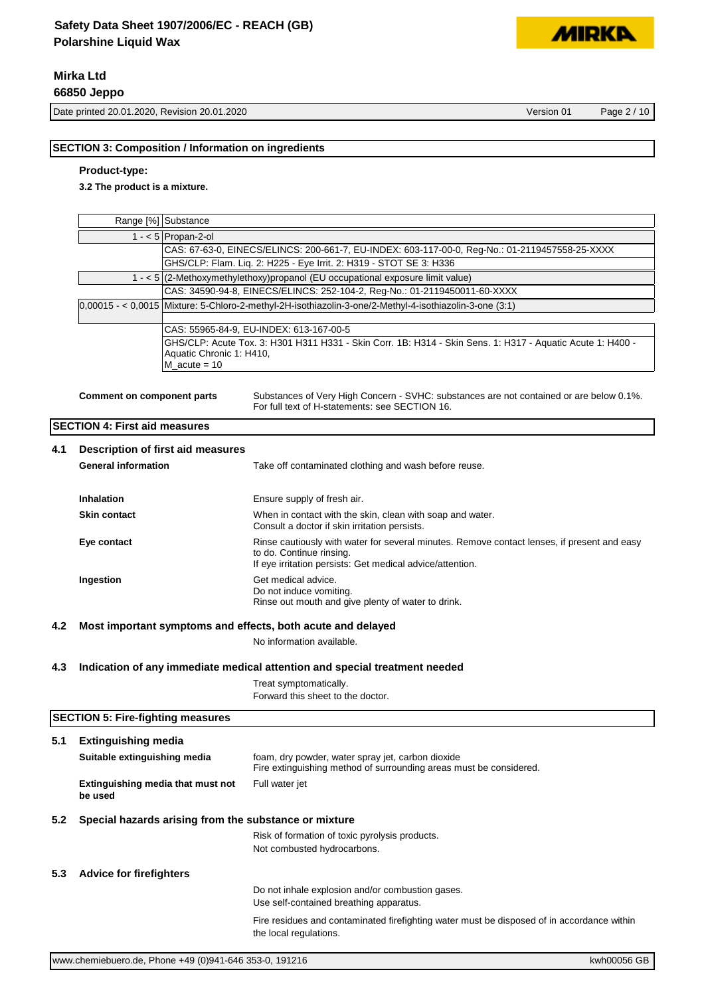# **Mirka Ltd**

**66850 Jeppo**

Date printed 20.01.2020, Revision 20.01.2020 Version 01 Page 2 / 10

**MIDKI** 

#### **SECTION 3: Composition / Information on ingredients**

#### **Product-type:**

**3.2 The product is a mixture.**

| Range [%] Substance                                                                                                                                      |
|----------------------------------------------------------------------------------------------------------------------------------------------------------|
| 1 - $<$ 5 Propan-2-ol                                                                                                                                    |
| CAS: 67-63-0, EINECS/ELINCS: 200-661-7, EU-INDEX: 603-117-00-0, Reg-No.: 01-2119457558-25-XXXX                                                           |
| GHS/CLP: Flam. Lig. 2: H225 - Eye Irrit. 2: H319 - STOT SE 3: H336                                                                                       |
| $1 - 5$ (2-Methoxymethylethoxy) propanol (EU occupational exposure limit value)                                                                          |
| CAS: 34590-94-8, EINECS/ELINCS: 252-104-2, Reg-No.: 01-2119450011-60-XXXX                                                                                |
| $0,00015 - 0,0015$ Mixture: 5-Chloro-2-methyl-2H-isothiazolin-3-one/2-Methyl-4-isothiazolin-3-one (3:1)                                                  |
|                                                                                                                                                          |
| CAS: 55965-84-9, EU-INDEX: 613-167-00-5                                                                                                                  |
| GHS/CLP: Acute Tox. 3: H301 H311 H331 - Skin Corr. 1B: H314 - Skin Sens. 1: H317 - Aquatic Acute 1: H400 -<br>Aquatic Chronic 1: H410,<br>M acute $= 10$ |

**Comment on component parts** Substances of Very High Concern - SVHC: substances are not contained or are below 0.1%. For full text of H-statements: see SECTION 16.

## **SECTION 4: First aid measures**

| 4.1 | Description of first aid measures<br><b>General information</b> | Take off contaminated clothing and wash before reuse.                                                                                                                                |
|-----|-----------------------------------------------------------------|--------------------------------------------------------------------------------------------------------------------------------------------------------------------------------------|
|     | <b>Inhalation</b>                                               | Ensure supply of fresh air.                                                                                                                                                          |
|     | <b>Skin contact</b>                                             | When in contact with the skin, clean with soap and water.<br>Consult a doctor if skin irritation persists.                                                                           |
|     | Eye contact                                                     | Rinse cautiously with water for several minutes. Remove contact lenses, if present and easy<br>to do. Continue rinsing.<br>If eye irritation persists: Get medical advice/attention. |
|     | Ingestion                                                       | Get medical advice.<br>Do not induce vomiting.<br>Rinse out mouth and give plenty of water to drink.                                                                                 |

#### **4.2 Most important symptoms and effects, both acute and delayed**

No information available.

#### **4.3 Indication of any immediate medical attention and special treatment needed**

Treat symptomatically. Forward this sheet to the doctor.

**SECTION 5: Fire-fighting measures 5.1 Extinguishing media Suitable extinguishing media** foam, dry powder, water spray jet, carbon dioxide Fire extinguishing method of surrounding areas must be considered. **Extinguishing media that must not be used** Full water jet **5.2 Special hazards arising from the substance or mixture** Risk of formation of toxic pyrolysis products. Not combusted hydrocarbons. **5.3 Advice for firefighters** Do not inhale explosion and/or combustion gases. Use self-contained breathing apparatus. Fire residues and contaminated firefighting water must be disposed of in accordance within the local regulations.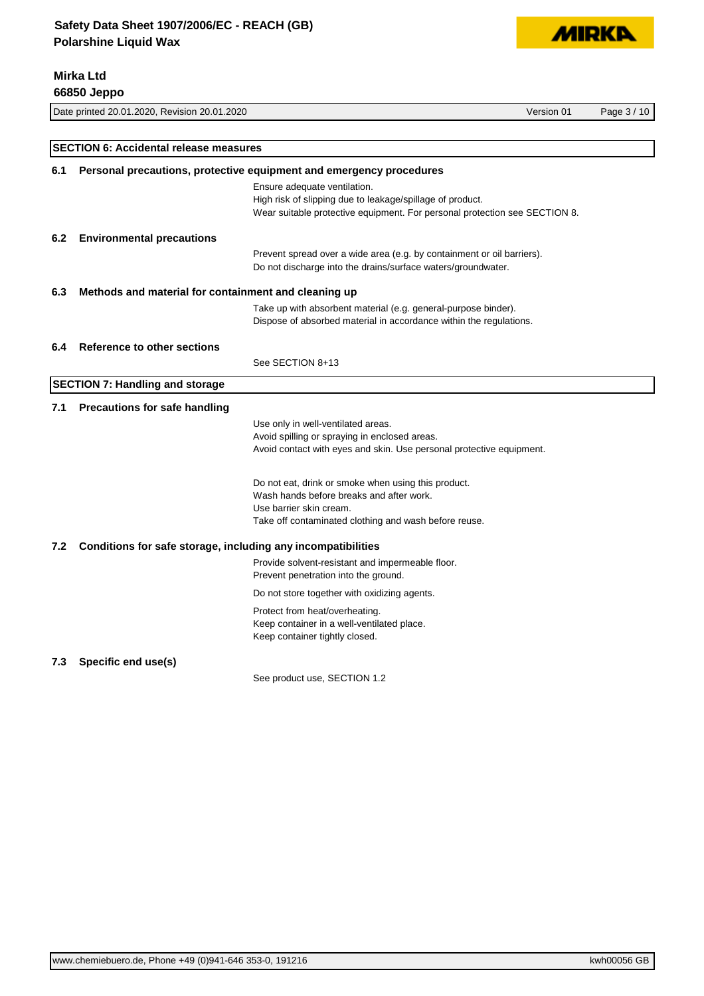**Mirka Ltd**



| 66850 Jeppo |                                                              |                                                                                                     |            |             |
|-------------|--------------------------------------------------------------|-----------------------------------------------------------------------------------------------------|------------|-------------|
|             | Date printed 20.01.2020, Revision 20.01.2020                 |                                                                                                     | Version 01 | Page 3 / 10 |
|             |                                                              |                                                                                                     |            |             |
|             | <b>SECTION 6: Accidental release measures</b>                |                                                                                                     |            |             |
| 6.1         |                                                              | Personal precautions, protective equipment and emergency procedures<br>Ensure adequate ventilation. |            |             |
|             |                                                              | High risk of slipping due to leakage/spillage of product.                                           |            |             |
|             |                                                              | Wear suitable protective equipment. For personal protection see SECTION 8.                          |            |             |
| 6.2         | <b>Environmental precautions</b>                             |                                                                                                     |            |             |
|             |                                                              | Prevent spread over a wide area (e.g. by containment or oil barriers).                              |            |             |
|             |                                                              | Do not discharge into the drains/surface waters/groundwater.                                        |            |             |
| 6.3         | Methods and material for containment and cleaning up         |                                                                                                     |            |             |
|             |                                                              | Take up with absorbent material (e.g. general-purpose binder).                                      |            |             |
|             |                                                              | Dispose of absorbed material in accordance within the regulations.                                  |            |             |
| 6.4         | Reference to other sections                                  |                                                                                                     |            |             |
|             |                                                              | See SECTION 8+13                                                                                    |            |             |
|             | <b>SECTION 7: Handling and storage</b>                       |                                                                                                     |            |             |
| 7.1         | <b>Precautions for safe handling</b>                         |                                                                                                     |            |             |
|             |                                                              | Use only in well-ventilated areas.                                                                  |            |             |
|             |                                                              | Avoid spilling or spraying in enclosed areas.                                                       |            |             |
|             |                                                              | Avoid contact with eyes and skin. Use personal protective equipment.                                |            |             |
|             |                                                              | Do not eat, drink or smoke when using this product.                                                 |            |             |
|             |                                                              | Wash hands before breaks and after work.                                                            |            |             |
|             |                                                              | Use barrier skin cream.                                                                             |            |             |
|             |                                                              | Take off contaminated clothing and wash before reuse.                                               |            |             |
| 7.2         | Conditions for safe storage, including any incompatibilities |                                                                                                     |            |             |
|             |                                                              | Provide solvent-resistant and impermeable floor.<br>Prevent penetration into the ground.            |            |             |
|             |                                                              | Do not store together with oxidizing agents.                                                        |            |             |
|             |                                                              | Protect from heat/overheating.                                                                      |            |             |
|             |                                                              | Keep container in a well-ventilated place.                                                          |            |             |
|             |                                                              | Keep container tightly closed.                                                                      |            |             |
| 7.3         | Specific end use(s)                                          |                                                                                                     |            |             |
|             |                                                              | See product use, SECTION 1.2                                                                        |            |             |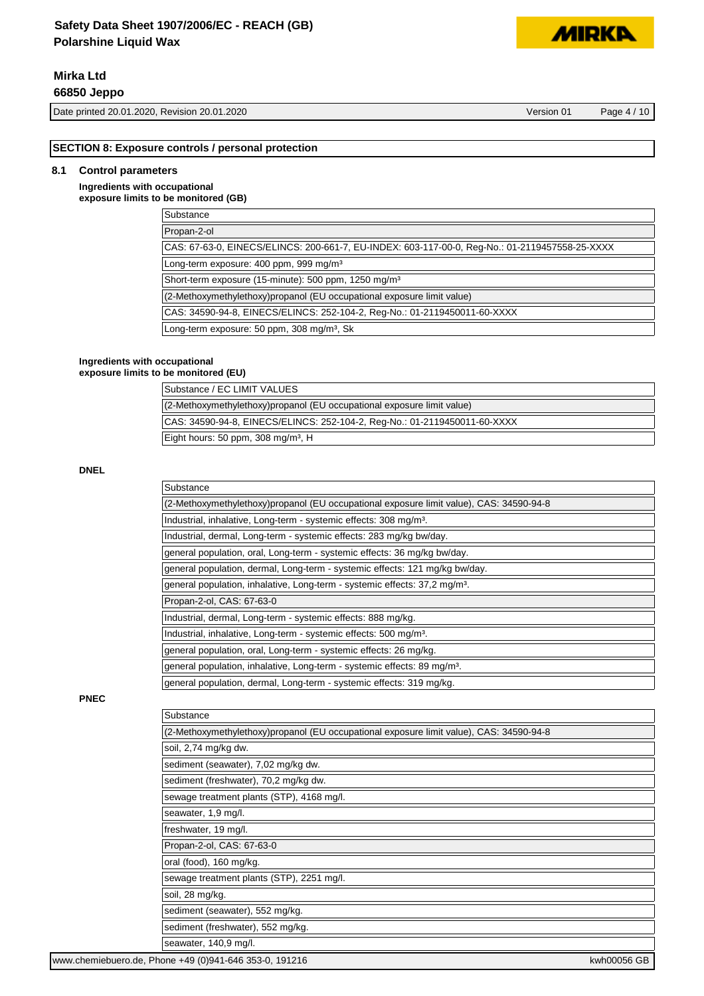# **Mirka Ltd**

**66850 Jeppo**

Date printed 20.01.2020, Revision 20.01.2020 Version 01 Page 4 / 10

**MIRKP** 

#### **SECTION 8: Exposure controls / personal protection**

#### **8.1 Control parameters**

#### **Ingredients with occupational exposure limits to be monitored (GB)**

| Substance                                                                                      |
|------------------------------------------------------------------------------------------------|
| Propan-2-ol                                                                                    |
| CAS: 67-63-0, EINECS/ELINCS: 200-661-7, EU-INDEX: 603-117-00-0, Reg-No.: 01-2119457558-25-XXXX |
| Long-term exposure: 400 ppm, 999 mg/m <sup>3</sup>                                             |
| Short-term exposure (15-minute): 500 ppm, 1250 mg/m <sup>3</sup>                               |
| (2-Methoxymethylethoxy)propanol (EU occupational exposure limit value)                         |
| CAS: 34590-94-8, EINECS/ELINCS: 252-104-2, Req-No.: 01-2119450011-60-XXXX                      |
| Long-term exposure: 50 ppm, 308 mg/m <sup>3</sup> , Sk                                         |
|                                                                                                |

#### **Ingredients with occupational**

**exposure limits to be monitored (EU)**

| Substance / EC LIMIT VALUES                                               |
|---------------------------------------------------------------------------|
| (2-Methoxymethylethoxy) propanol (EU occupational exposure limit value)   |
| CAS: 34590-94-8, EINECS/ELINCS: 252-104-2, Req-No.: 01-2119450011-60-XXXX |
| Eight hours: 50 ppm, 308 mg/m <sup>3</sup> , H                            |

#### **DNEL**

| Substance                                                                               |
|-----------------------------------------------------------------------------------------|
| (2-Methoxymethylethoxy)propanol (EU occupational exposure limit value), CAS: 34590-94-8 |
| Industrial, inhalative, Long-term - systemic effects: 308 mg/m <sup>3</sup> .           |
| Industrial, dermal, Long-term - systemic effects: 283 mg/kg bw/day.                     |
| general population, oral, Long-term - systemic effects: 36 mg/kg bw/day.                |
| general population, dermal, Long-term - systemic effects: 121 mg/kg bw/day.             |
| general population, inhalative, Long-term - systemic effects: 37,2 mg/m <sup>3</sup> .  |
| Propan-2-ol, CAS: 67-63-0                                                               |
| Industrial, dermal, Long-term - systemic effects: 888 mg/kg.                            |
| Industrial, inhalative, Long-term - systemic effects: 500 mg/m <sup>3</sup> .           |
| general population, oral, Long-term - systemic effects: 26 mg/kg.                       |
| general population, inhalative, Long-term - systemic effects: 89 mg/m <sup>3</sup> .    |
| general population, dermal, Long-term - systemic effects: 319 mg/kg.                    |

### **PNEC**

| Substance                                                                               |  |
|-----------------------------------------------------------------------------------------|--|
| (2-Methoxymethylethoxy)propanol (EU occupational exposure limit value), CAS: 34590-94-8 |  |
| soil, 2,74 mg/kg dw.                                                                    |  |
| sediment (seawater), 7,02 mg/kg dw.                                                     |  |
| sediment (freshwater), 70,2 mg/kg dw.                                                   |  |
| sewage treatment plants (STP), 4168 mg/l.                                               |  |
| seawater, 1,9 mg/l.                                                                     |  |
| freshwater, 19 mg/l.                                                                    |  |
| Propan-2-ol, CAS: 67-63-0                                                               |  |
| oral (food), 160 mg/kg.                                                                 |  |
| sewage treatment plants (STP), 2251 mg/l.                                               |  |
| soil, 28 mg/kg.                                                                         |  |
| sediment (seawater), 552 mg/kg.                                                         |  |
| sediment (freshwater), 552 mg/kg.                                                       |  |
| seawater, 140,9 mg/l.                                                                   |  |
| 1.1.0005000                                                                             |  |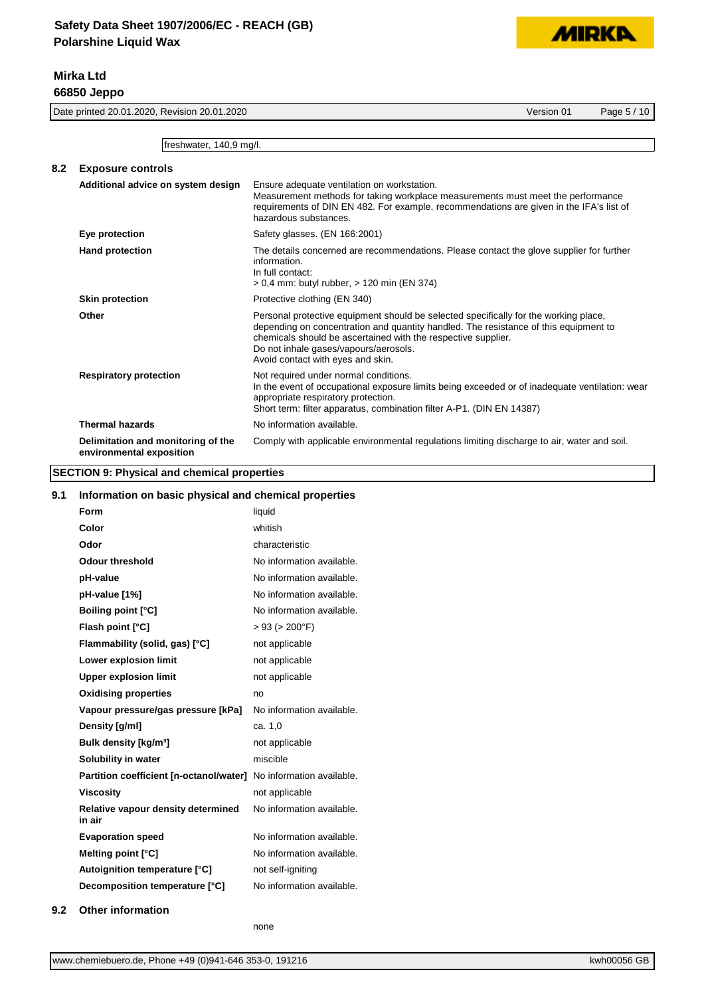

**MIDKD** 

|     | Version 01<br>Date printed 20.01.2020, Revision 20.01.2020<br>Page 5 / 10 |                                                                                                                                                                                                                                                                                                                             |  |  |
|-----|---------------------------------------------------------------------------|-----------------------------------------------------------------------------------------------------------------------------------------------------------------------------------------------------------------------------------------------------------------------------------------------------------------------------|--|--|
|     | freshwater, 140,9 mg/l.                                                   |                                                                                                                                                                                                                                                                                                                             |  |  |
| 8.2 | <b>Exposure controls</b>                                                  |                                                                                                                                                                                                                                                                                                                             |  |  |
|     | Additional advice on system design                                        | Ensure adequate ventilation on workstation.<br>Measurement methods for taking workplace measurements must meet the performance<br>requirements of DIN EN 482. For example, recommendations are given in the IFA's list of<br>hazardous substances.                                                                          |  |  |
|     | Eye protection                                                            | Safety glasses. (EN 166:2001)                                                                                                                                                                                                                                                                                               |  |  |
|     | <b>Hand protection</b>                                                    | The details concerned are recommendations. Please contact the glove supplier for further<br>information.<br>In full contact:<br>> 0.4 mm: butyl rubber, > 120 min (EN 374)                                                                                                                                                  |  |  |
|     | <b>Skin protection</b>                                                    | Protective clothing (EN 340)                                                                                                                                                                                                                                                                                                |  |  |
|     | Other                                                                     | Personal protective equipment should be selected specifically for the working place,<br>depending on concentration and quantity handled. The resistance of this equipment to<br>chemicals should be ascertained with the respective supplier.<br>Do not inhale gases/vapours/aerosols.<br>Avoid contact with eyes and skin. |  |  |
|     | <b>Respiratory protection</b>                                             | Not required under normal conditions.<br>In the event of occupational exposure limits being exceeded or of inadequate ventilation: wear<br>appropriate respiratory protection.<br>Short term: filter apparatus, combination filter A-P1. (DIN EN 14387)                                                                     |  |  |
|     | <b>Thermal hazards</b>                                                    | No information available.                                                                                                                                                                                                                                                                                                   |  |  |
|     | Delimitation and monitoring of the<br>environmental exposition            | Comply with applicable environmental regulations limiting discharge to air, water and soil.                                                                                                                                                                                                                                 |  |  |

#### **SECTION 9: Physical and chemical properties**

# **9.1 Information on basic physical and chemical properties Form** liquid **Color** whitish **Odor** characteristic **Odour threshold** No information available. **pH-value has a contract to the Mountain Service Contract of the Mountain Available. pH-value [1%]** No information available. **Boiling point [°C]** No information available. **Flash point [°C]** > 93 (> 200°F) **Flammability (solid, gas) [°C]** not applicable **Lower explosion limit** not applicable **Upper explosion limit** not applicable **Oxidising properties** no **Vapour pressure/gas pressure [kPa]** No information available. **Density [g/ml]** ca. 1,0 **Bulk density [kg/m<sup>3</sup>]** not applicable **Solubility in water** miscible **Partition coefficient [n-octanol/water]** No information available. **Viscosity not** applicable **Relative vapour density determined in air** No information available. **Evaporation speed** No information available. **Melting point [°C]** No information available. **Autoignition temperature [°C]** not self-igniting **Decomposition temperature [°C]** No information available.

none

**<sup>9.2</sup> Other information**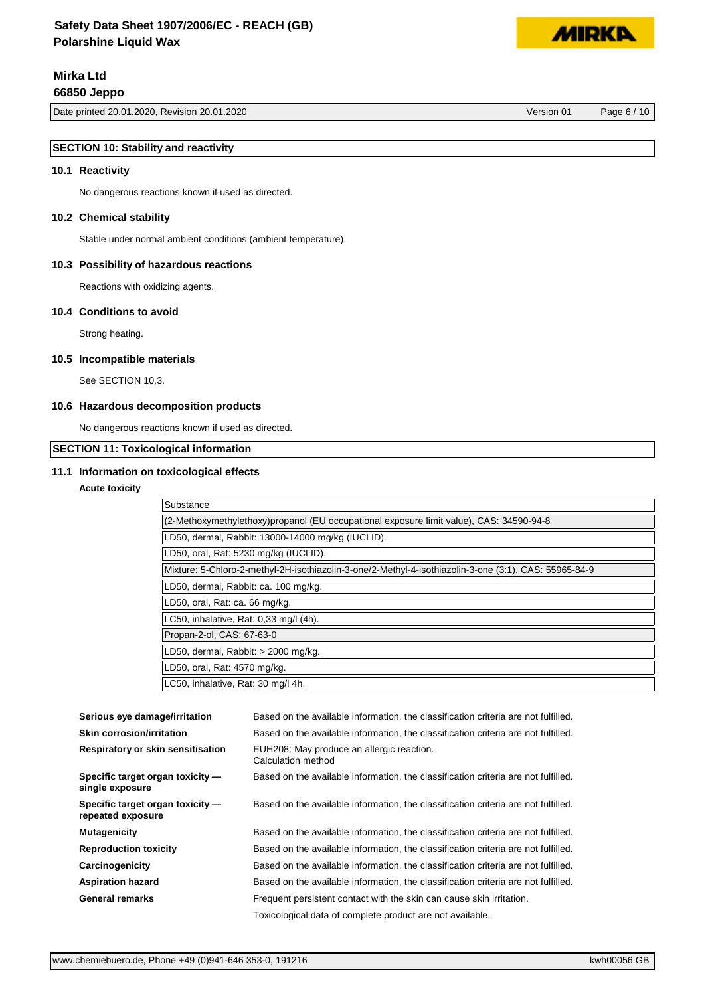# **Mirka Ltd**

**66850 Jeppo**

**MIDKD** 

# **SECTION 10: Stability and reactivity**

#### **10.1 Reactivity**

No dangerous reactions known if used as directed.

#### **10.2 Chemical stability**

Stable under normal ambient conditions (ambient temperature).

#### **10.3 Possibility of hazardous reactions**

Reactions with oxidizing agents.

#### **10.4 Conditions to avoid**

Strong heating.

#### **10.5 Incompatible materials**

See SECTION 10.3.

#### **10.6 Hazardous decomposition products**

No dangerous reactions known if used as directed.

### **SECTION 11: Toxicological information**

#### **11.1 Information on toxicological effects**

#### **Acute toxicity**

| Substance                                                                                             |
|-------------------------------------------------------------------------------------------------------|
| (2-Methoxymethylethoxy)propanol (EU occupational exposure limit value), CAS: 34590-94-8               |
| LD50, dermal, Rabbit: 13000-14000 mg/kg (IUCLID).                                                     |
| LD50, oral, Rat: 5230 mg/kg (IUCLID).                                                                 |
| Mixture: 5-Chloro-2-methyl-2H-isothiazolin-3-one/2-Methyl-4-isothiazolin-3-one (3:1), CAS: 55965-84-9 |
| LD50, dermal, Rabbit: ca. 100 mg/kg.                                                                  |
| LD50, oral, Rat: ca. 66 mg/kg.                                                                        |
| LC50, inhalative, Rat: 0,33 mg/l (4h).                                                                |
| Propan-2-ol, CAS: 67-63-0                                                                             |
| LD50, dermal, Rabbit: > 2000 mg/kg.                                                                   |
| LD50, oral, Rat: 4570 mg/kg.                                                                          |
| LC50, inhalative, Rat: 30 mg/l 4h.                                                                    |

| Serious eye damage/irritation                         | Based on the available information, the classification criteria are not fulfilled. |
|-------------------------------------------------------|------------------------------------------------------------------------------------|
| <b>Skin corrosion/irritation</b>                      | Based on the available information, the classification criteria are not fulfilled. |
| Respiratory or skin sensitisation                     | EUH208: May produce an allergic reaction.<br>Calculation method                    |
| Specific target organ toxicity -<br>single exposure   | Based on the available information, the classification criteria are not fulfilled. |
| Specific target organ toxicity -<br>repeated exposure | Based on the available information, the classification criteria are not fulfilled. |
| <b>Mutagenicity</b>                                   | Based on the available information, the classification criteria are not fulfilled. |
| <b>Reproduction toxicity</b>                          | Based on the available information, the classification criteria are not fulfilled. |
| Carcinogenicity                                       | Based on the available information, the classification criteria are not fulfilled. |
| <b>Aspiration hazard</b>                              | Based on the available information, the classification criteria are not fulfilled. |
| General remarks                                       | Frequent persistent contact with the skin can cause skin irritation.               |
|                                                       | Toxicological data of complete product are not available.                          |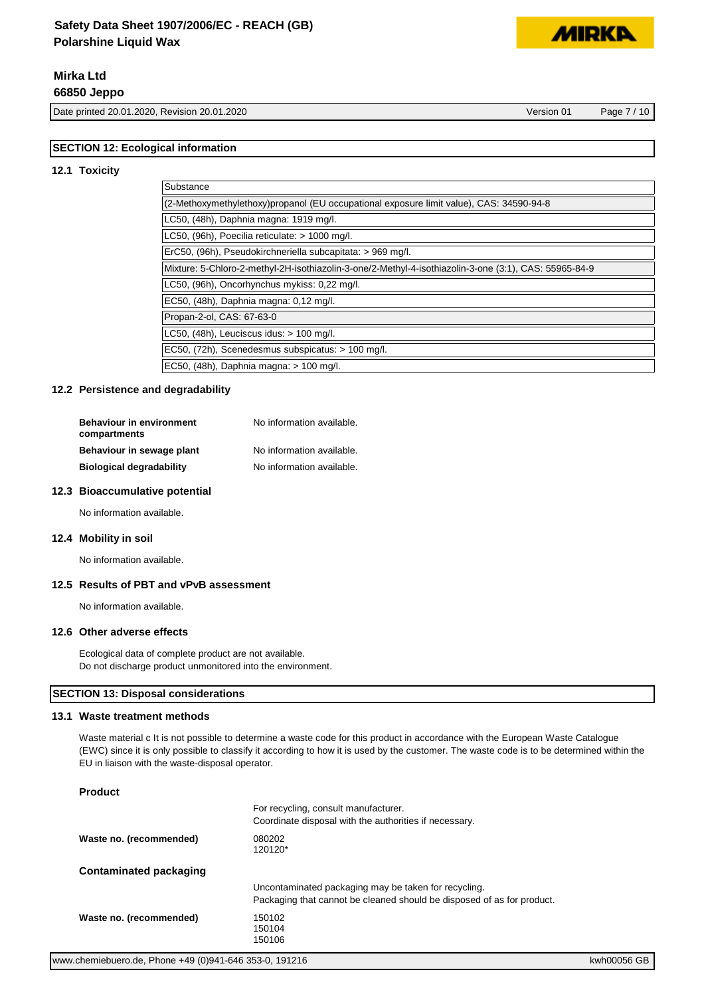# **Mirka Ltd**

**66850 Jeppo**

Date printed 20.01.2020, Revision 20.01.2020 Version 01 Page 7 / 10

**MIDKI** 

# **SECTION 12: Ecological information**

#### **12.1 Toxicity**

| Substance                                                                                             |  |
|-------------------------------------------------------------------------------------------------------|--|
| (2-Methoxymethylethoxy)propanol (EU occupational exposure limit value), CAS: 34590-94-8               |  |
| LC50, (48h), Daphnia magna: 1919 mg/l.                                                                |  |
| LC50, (96h), Poecilia reticulate: > 1000 mg/l.                                                        |  |
| ErC50, (96h), Pseudokirchneriella subcapitata: > 969 mg/l.                                            |  |
| Mixture: 5-Chloro-2-methyl-2H-isothiazolin-3-one/2-Methyl-4-isothiazolin-3-one (3:1), CAS: 55965-84-9 |  |
| LC50, (96h), Oncorhynchus mykiss: 0,22 mg/l.                                                          |  |
| EC50, (48h), Daphnia magna: 0,12 mg/l.                                                                |  |
| Propan-2-ol, CAS: 67-63-0                                                                             |  |
| LC50, $(48h)$ , Leuciscus idus: $> 100$ mg/l.                                                         |  |
| EC50, (72h), Scenedesmus subspicatus: > 100 mg/l.                                                     |  |
| EC50, (48h), Daphnia magna: > 100 mg/l.                                                               |  |

#### **12.2 Persistence and degradability**

| <b>Behaviour in environment</b><br>compartments | No information available. |
|-------------------------------------------------|---------------------------|
| Behaviour in sewage plant                       | No information available. |
| <b>Biological degradability</b>                 | No information available. |

#### **12.3 Bioaccumulative potential**

No information available.

#### **12.4 Mobility in soil**

No information available.

#### **12.5 Results of PBT and vPvB assessment**

No information available.

#### **12.6 Other adverse effects**

Ecological data of complete product are not available. Do not discharge product unmonitored into the environment.

#### **SECTION 13: Disposal considerations**

#### **13.1 Waste treatment methods**

Waste material c It is not possible to determine a waste code for this product in accordance with the European Waste Catalogue (EWC) since it is only possible to classify it according to how it is used by the customer. The waste code is to be determined within the EU in liaison with the waste-disposal operator.

#### **Product**

|                         | For recycling, consult manufacturer.<br>Coordinate disposal with the authorities if necessary. |
|-------------------------|------------------------------------------------------------------------------------------------|
| Waste no. (recommended) | 080202<br>120120*                                                                              |
| Contaminated packaging  |                                                                                                |
|                         | Uncontaminated packaging may be taken for recycling.                                           |
|                         | Packaging that cannot be cleaned should be disposed of as for product.                         |
| Waste no. (recommended) | 150102                                                                                         |
|                         | 150104<br>150106                                                                               |
|                         |                                                                                                |

For recycling, consult manufacturer.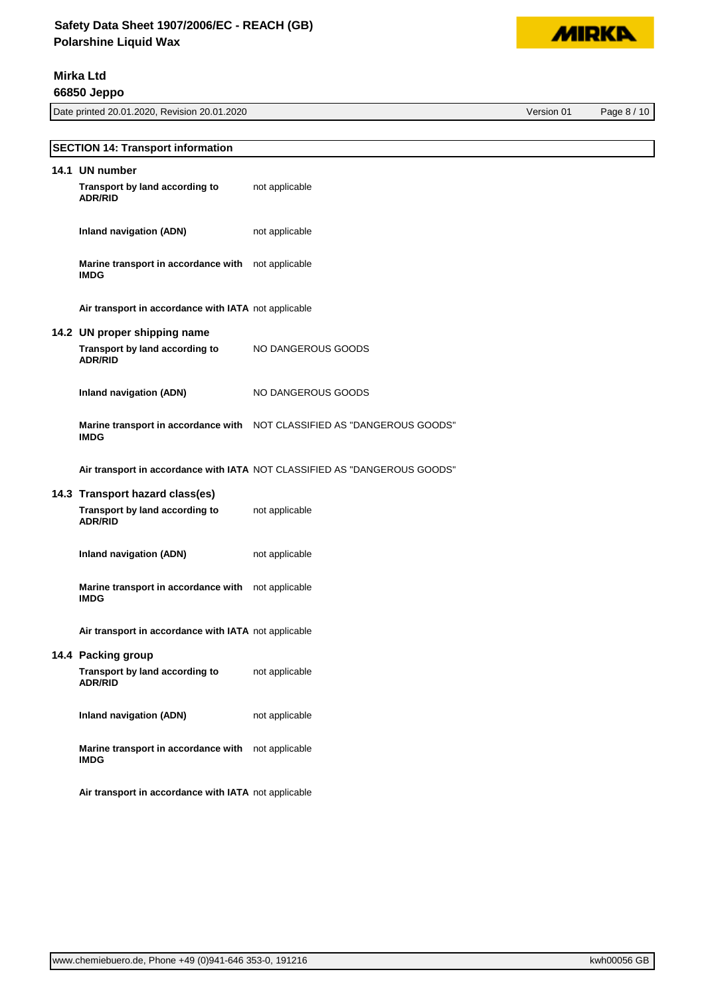

**Mirka Ltd**

**66850 Jeppo**

Date printed 20.01.2020, Revision 20.01.2020 Version 01 Page 8 / 10

| <b>SECTION 14: Transport information</b>                          |                                                                           |
|-------------------------------------------------------------------|---------------------------------------------------------------------------|
| 14.1 UN number                                                    |                                                                           |
| Transport by land according to<br><b>ADR/RID</b>                  | not applicable                                                            |
| <b>Inland navigation (ADN)</b>                                    | not applicable                                                            |
| Marine transport in accordance with not applicable<br><b>IMDG</b> |                                                                           |
| Air transport in accordance with IATA not applicable              |                                                                           |
| 14.2 UN proper shipping name                                      |                                                                           |
| Transport by land according to<br><b>ADR/RID</b>                  | NO DANGEROUS GOODS                                                        |
| <b>Inland navigation (ADN)</b>                                    | NO DANGEROUS GOODS                                                        |
| <b>IMDG</b>                                                       | Marine transport in accordance with NOT CLASSIFIED AS "DANGEROUS GOODS"   |
|                                                                   | Air transport in accordance with IATA NOT CLASSIFIED AS "DANGEROUS GOODS" |
| 14.3 Transport hazard class(es)                                   |                                                                           |
| Transport by land according to<br><b>ADR/RID</b>                  | not applicable                                                            |
| <b>Inland navigation (ADN)</b>                                    | not applicable                                                            |
| Marine transport in accordance with not applicable<br><b>IMDG</b> |                                                                           |
| Air transport in accordance with IATA not applicable              |                                                                           |
| 14.4 Packing group                                                |                                                                           |
| Transport by land according to<br><b>ADR/RID</b>                  | not applicable                                                            |
| <b>Inland navigation (ADN)</b>                                    | not applicable                                                            |
| Marine transport in accordance with<br><b>IMDG</b>                | not applicable                                                            |
| Air transport in accordance with IATA not applicable              |                                                                           |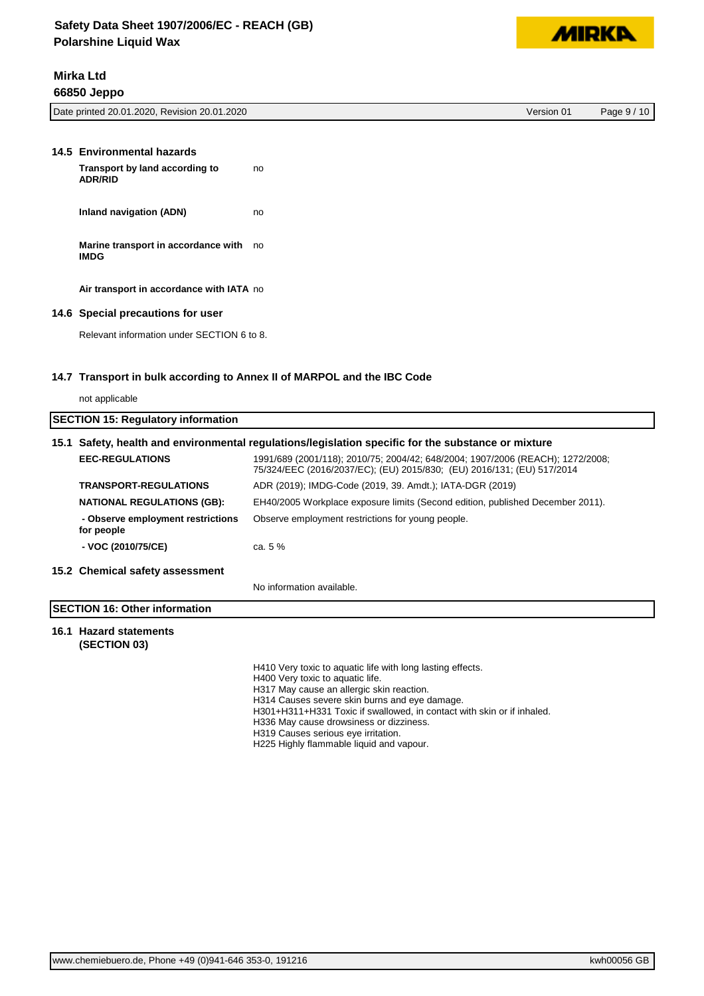

# **Mirka Ltd 66850 Jeppo**

| Date<br>Revision 20.01.2020<br>printed 20.01.2020.<br>_______ | Version 01 | 10<br>Page |
|---------------------------------------------------------------|------------|------------|
|                                                               |            |            |

| 14.5 Environmental hazards<br>Transport by land according to<br><b>ADR/RID</b> | no |
|--------------------------------------------------------------------------------|----|
| Inland navigation (ADN)                                                        | no |
| Marine transport in accordance with no<br><b>IMDG</b>                          |    |
| Air transport in accordance with IATA no                                       |    |
| 14.6 Special precautions for user                                              |    |
| Relevant information under SECTION 6 to 8.                                     |    |

#### **14.7 Transport in bulk according to Annex II of MARPOL and the IBC Code**

| not applicable |  |
|----------------|--|
|----------------|--|

| <b>SECTION 15: Regulatory information</b>       |                                                                                                                                                          |
|-------------------------------------------------|----------------------------------------------------------------------------------------------------------------------------------------------------------|
|                                                 | 15.1 Safety, health and environmental regulations/legislation specific for the substance or mixture                                                      |
| <b>EEC-REGULATIONS</b>                          | 1991/689 (2001/118); 2010/75; 2004/42; 648/2004; 1907/2006 (REACH); 1272/2008;<br>75/324/EEC (2016/2037/EC); (EU) 2015/830; (EU) 2016/131; (EU) 517/2014 |
| <b>TRANSPORT-REGULATIONS</b>                    | ADR (2019); IMDG-Code (2019, 39. Amdt.); IATA-DGR (2019)                                                                                                 |
| <b>NATIONAL REGULATIONS (GB):</b>               | EH40/2005 Workplace exposure limits (Second edition, published December 2011).                                                                           |
| - Observe employment restrictions<br>for people | Observe employment restrictions for young people.                                                                                                        |
| - VOC (2010/75/CE)                              | ca. $5\%$                                                                                                                                                |
| 15.2 Chemical safety assessment                 |                                                                                                                                                          |
|                                                 | No information available.                                                                                                                                |
|                                                 |                                                                                                                                                          |

# **SECTION 16: Other information**

### **16.1 Hazard statements (SECTION 03)**

H410 Very toxic to aquatic life with long lasting effects. H400 Very toxic to aquatic life. H317 May cause an allergic skin reaction. H314 Causes severe skin burns and eye damage.

H301+H311+H331 Toxic if swallowed, in contact with skin or if inhaled.

H336 May cause drowsiness or dizziness.

H319 Causes serious eye irritation.

H225 Highly flammable liquid and vapour.